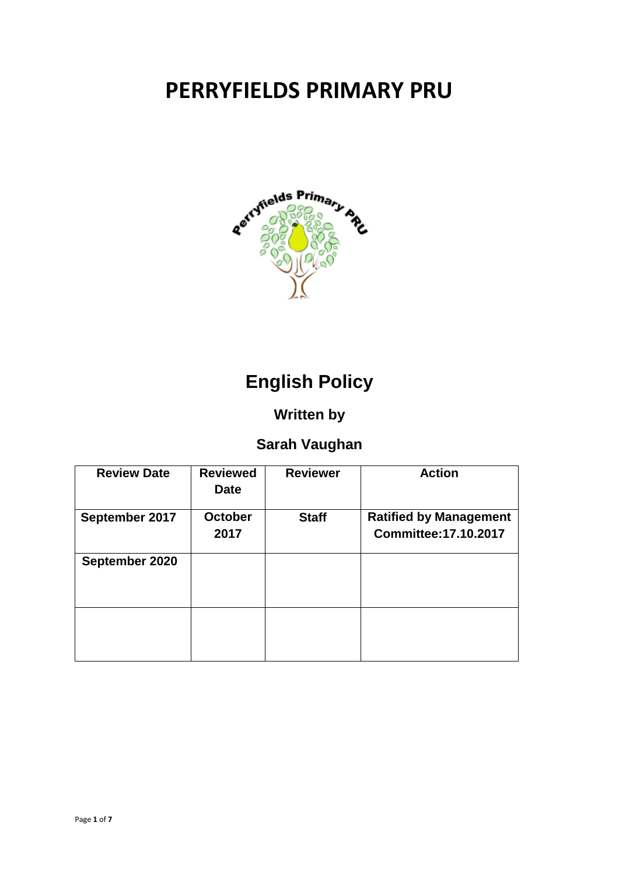# **PERRYFIELDS PRIMARY PRU**



## **English Policy**

## **Written by**

## **Sarah Vaughan**

| <b>Review Date</b> | <b>Reviewed</b><br><b>Date</b> | <b>Reviewer</b> | <b>Action</b>                                                 |
|--------------------|--------------------------------|-----------------|---------------------------------------------------------------|
| September 2017     | <b>October</b><br>2017         | <b>Staff</b>    | <b>Ratified by Management</b><br><b>Committee: 17.10.2017</b> |
| September 2020     |                                |                 |                                                               |
|                    |                                |                 |                                                               |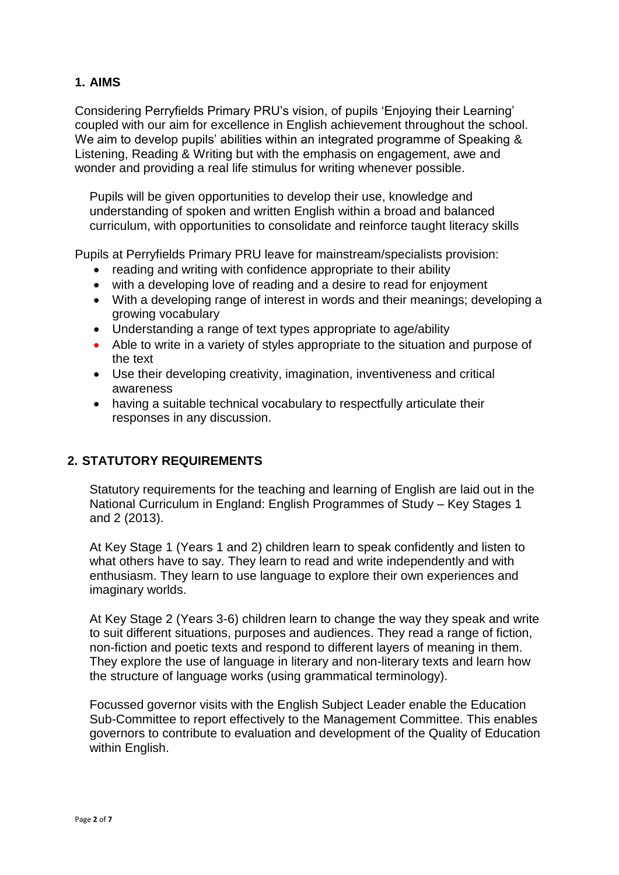#### **1. AIMS**

Considering Perryfields Primary PRU's vision, of pupils 'Enjoying their Learning' coupled with our aim for excellence in English achievement throughout the school. We aim to develop pupils' abilities within an integrated programme of Speaking & Listening, Reading & Writing but with the emphasis on engagement, awe and wonder and providing a real life stimulus for writing whenever possible.

Pupils will be given opportunities to develop their use, knowledge and understanding of spoken and written English within a broad and balanced curriculum, with opportunities to consolidate and reinforce taught literacy skills

Pupils at Perryfields Primary PRU leave for mainstream/specialists provision:

- reading and writing with confidence appropriate to their ability
- with a developing love of reading and a desire to read for enjoyment
- With a developing range of interest in words and their meanings; developing a growing vocabulary
- Understanding a range of text types appropriate to age/ability
- Able to write in a variety of styles appropriate to the situation and purpose of the text
- Use their developing creativity, imagination, inventiveness and critical awareness
- having a suitable technical vocabulary to respectfully articulate their responses in any discussion.

#### **2. STATUTORY REQUIREMENTS**

Statutory requirements for the teaching and learning of English are laid out in the National Curriculum in England: English Programmes of Study – Key Stages 1 and 2 (2013).

At Key Stage 1 (Years 1 and 2) children learn to speak confidently and listen to what others have to say. They learn to read and write independently and with enthusiasm. They learn to use language to explore their own experiences and imaginary worlds.

At Key Stage 2 (Years 3-6) children learn to change the way they speak and write to suit different situations, purposes and audiences. They read a range of fiction, non-fiction and poetic texts and respond to different layers of meaning in them. They explore the use of language in literary and non-literary texts and learn how the structure of language works (using grammatical terminology).

Focussed governor visits with the English Subject Leader enable the Education Sub-Committee to report effectively to the Management Committee. This enables governors to contribute to evaluation and development of the Quality of Education within English.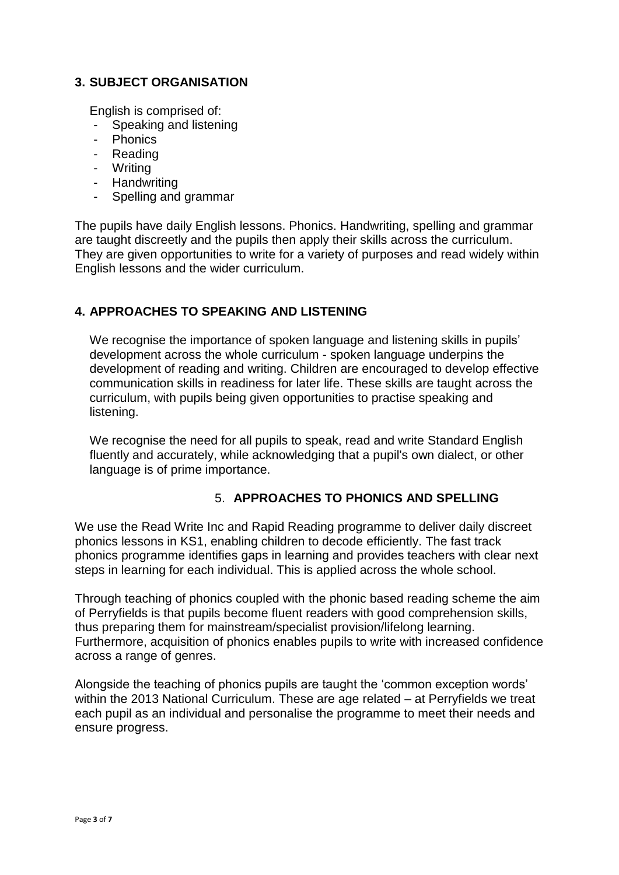#### **3. SUBJECT ORGANISATION**

English is comprised of:

- Speaking and listening
- **Phonics**
- Reading
- Writing
- Handwriting
- Spelling and grammar

The pupils have daily English lessons. Phonics. Handwriting, spelling and grammar are taught discreetly and the pupils then apply their skills across the curriculum. They are given opportunities to write for a variety of purposes and read widely within English lessons and the wider curriculum.

#### **4. APPROACHES TO SPEAKING AND LISTENING**

We recognise the importance of spoken language and listening skills in pupils' development across the whole curriculum - spoken language underpins the development of reading and writing. Children are encouraged to develop effective communication skills in readiness for later life. These skills are taught across the curriculum, with pupils being given opportunities to practise speaking and listening.

We recognise the need for all pupils to speak, read and write Standard English fluently and accurately, while acknowledging that a pupil's own dialect, or other language is of prime importance.

#### 5. **APPROACHES TO PHONICS AND SPELLING**

We use the Read Write Inc and Rapid Reading programme to deliver daily discreet phonics lessons in KS1, enabling children to decode efficiently. The fast track phonics programme identifies gaps in learning and provides teachers with clear next steps in learning for each individual. This is applied across the whole school.

Through teaching of phonics coupled with the phonic based reading scheme the aim of Perryfields is that pupils become fluent readers with good comprehension skills, thus preparing them for mainstream/specialist provision/lifelong learning. Furthermore, acquisition of phonics enables pupils to write with increased confidence across a range of genres.

Alongside the teaching of phonics pupils are taught the 'common exception words' within the 2013 National Curriculum. These are age related – at Perryfields we treat each pupil as an individual and personalise the programme to meet their needs and ensure progress.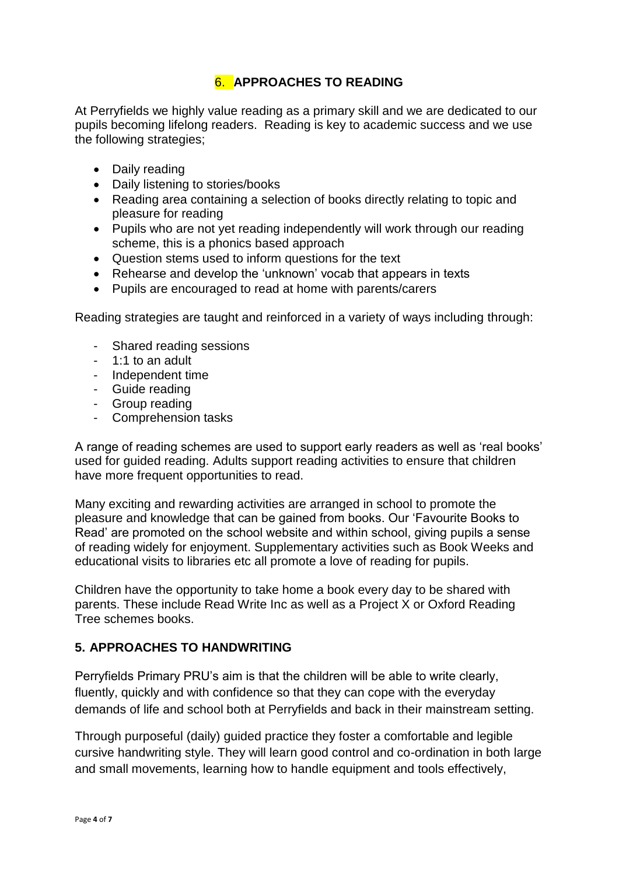#### 6. **APPROACHES TO READING**

At Perryfields we highly value reading as a primary skill and we are dedicated to our pupils becoming lifelong readers. Reading is key to academic success and we use the following strategies;

- Daily reading
- Daily listening to stories/books
- Reading area containing a selection of books directly relating to topic and pleasure for reading
- Pupils who are not yet reading independently will work through our reading scheme, this is a phonics based approach
- Question stems used to inform questions for the text
- Rehearse and develop the 'unknown' vocab that appears in texts
- Pupils are encouraged to read at home with parents/carers

Reading strategies are taught and reinforced in a variety of ways including through:

- Shared reading sessions
- 1:1 to an adult
- Independent time
- Guide reading
- Group reading
- Comprehension tasks

A range of reading schemes are used to support early readers as well as 'real books' used for guided reading. Adults support reading activities to ensure that children have more frequent opportunities to read.

Many exciting and rewarding activities are arranged in school to promote the pleasure and knowledge that can be gained from books. Our 'Favourite Books to Read' are promoted on the school website and within school, giving pupils a sense of reading widely for enjoyment. Supplementary activities such as Book Weeks and educational visits to libraries etc all promote a love of reading for pupils.

Children have the opportunity to take home a book every day to be shared with parents. These include Read Write Inc as well as a Project X or Oxford Reading Tree schemes books.

#### **5. APPROACHES TO HANDWRITING**

Perryfields Primary PRU's aim is that the children will be able to write clearly, fluently, quickly and with confidence so that they can cope with the everyday demands of life and school both at Perryfields and back in their mainstream setting.

Through purposeful (daily) guided practice they foster a comfortable and legible cursive handwriting style. They will learn good control and co-ordination in both large and small movements, learning how to handle equipment and tools effectively,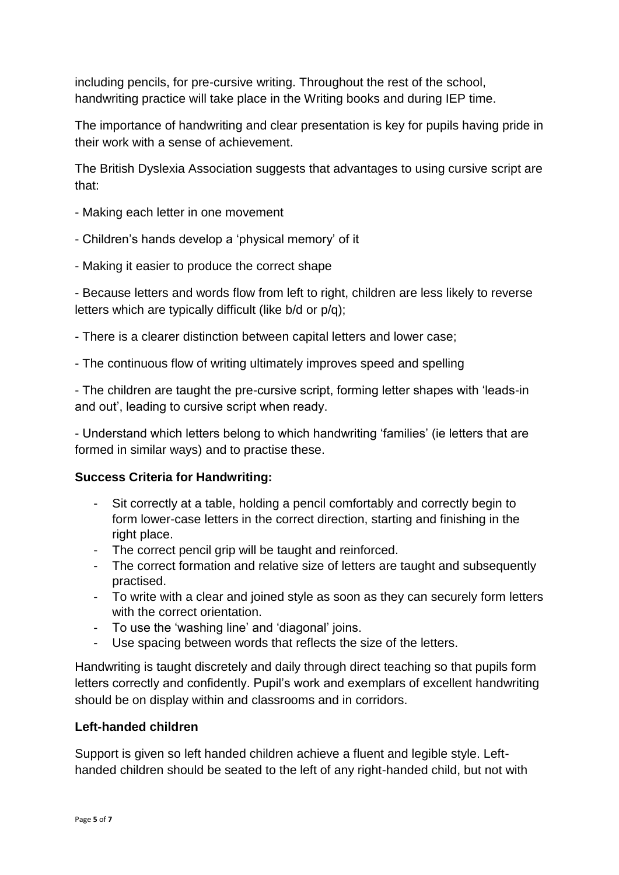including pencils, for pre-cursive writing. Throughout the rest of the school, handwriting practice will take place in the Writing books and during IEP time.

The importance of handwriting and clear presentation is key for pupils having pride in their work with a sense of achievement.

The British Dyslexia Association suggests that advantages to using cursive script are that:

- Making each letter in one movement
- Children's hands develop a 'physical memory' of it
- Making it easier to produce the correct shape

- Because letters and words flow from left to right, children are less likely to reverse letters which are typically difficult (like b/d or p/q);

- There is a clearer distinction between capital letters and lower case;
- The continuous flow of writing ultimately improves speed and spelling

- The children are taught the pre-cursive script, forming letter shapes with 'leads-in and out', leading to cursive script when ready.

- Understand which letters belong to which handwriting 'families' (ie letters that are formed in similar ways) and to practise these.

#### **Success Criteria for Handwriting:**

- Sit correctly at a table, holding a pencil comfortably and correctly begin to form lower-case letters in the correct direction, starting and finishing in the right place.
- The correct pencil grip will be taught and reinforced.
- The correct formation and relative size of letters are taught and subsequently practised.
- To write with a clear and joined style as soon as they can securely form letters with the correct orientation.
- To use the 'washing line' and 'diagonal' joins.
- Use spacing between words that reflects the size of the letters.

Handwriting is taught discretely and daily through direct teaching so that pupils form letters correctly and confidently. Pupil's work and exemplars of excellent handwriting should be on display within and classrooms and in corridors.

#### **Left-handed children**

Support is given so left handed children achieve a fluent and legible style. Lefthanded children should be seated to the left of any right-handed child, but not with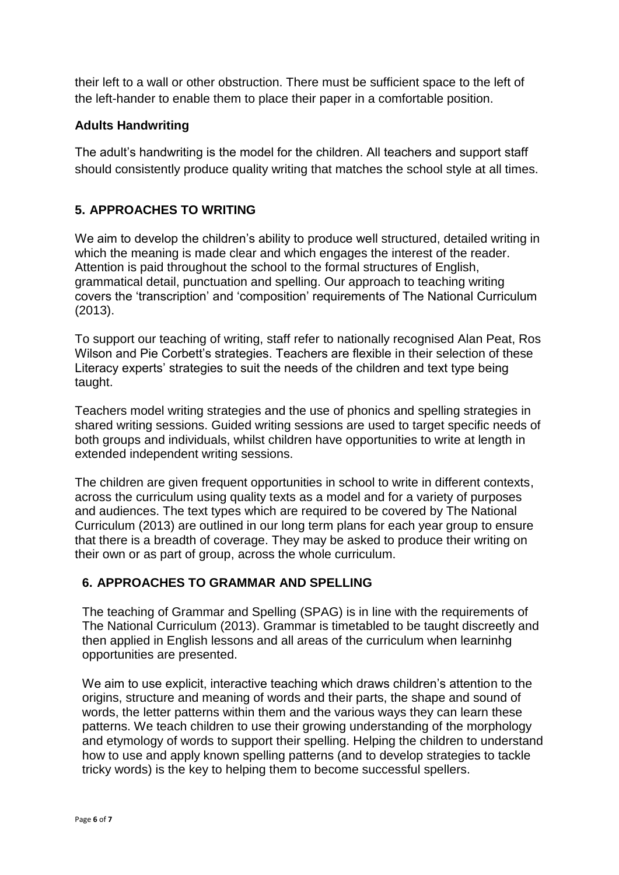their left to a wall or other obstruction. There must be sufficient space to the left of the left-hander to enable them to place their paper in a comfortable position.

#### **Adults Handwriting**

The adult's handwriting is the model for the children. All teachers and support staff should consistently produce quality writing that matches the school style at all times.

#### **5. APPROACHES TO WRITING**

We aim to develop the children's ability to produce well structured, detailed writing in which the meaning is made clear and which engages the interest of the reader. Attention is paid throughout the school to the formal structures of English, grammatical detail, punctuation and spelling. Our approach to teaching writing covers the 'transcription' and 'composition' requirements of The National Curriculum (2013).

To support our teaching of writing, staff refer to nationally recognised Alan Peat, Ros Wilson and Pie Corbett's strategies. Teachers are flexible in their selection of these Literacy experts' strategies to suit the needs of the children and text type being taught.

Teachers model writing strategies and the use of phonics and spelling strategies in shared writing sessions. Guided writing sessions are used to target specific needs of both groups and individuals, whilst children have opportunities to write at length in extended independent writing sessions.

The children are given frequent opportunities in school to write in different contexts, across the curriculum using quality texts as a model and for a variety of purposes and audiences. The text types which are required to be covered by The National Curriculum (2013) are outlined in our long term plans for each year group to ensure that there is a breadth of coverage. They may be asked to produce their writing on their own or as part of group, across the whole curriculum.

#### **6. APPROACHES TO GRAMMAR AND SPELLING**

The teaching of Grammar and Spelling (SPAG) is in line with the requirements of The National Curriculum (2013). Grammar is timetabled to be taught discreetly and then applied in English lessons and all areas of the curriculum when learninhg opportunities are presented.

We aim to use explicit, interactive teaching which draws children's attention to the origins, structure and meaning of words and their parts, the shape and sound of words, the letter patterns within them and the various ways they can learn these patterns. We teach children to use their growing understanding of the morphology and etymology of words to support their spelling. Helping the children to understand how to use and apply known spelling patterns (and to develop strategies to tackle tricky words) is the key to helping them to become successful spellers.